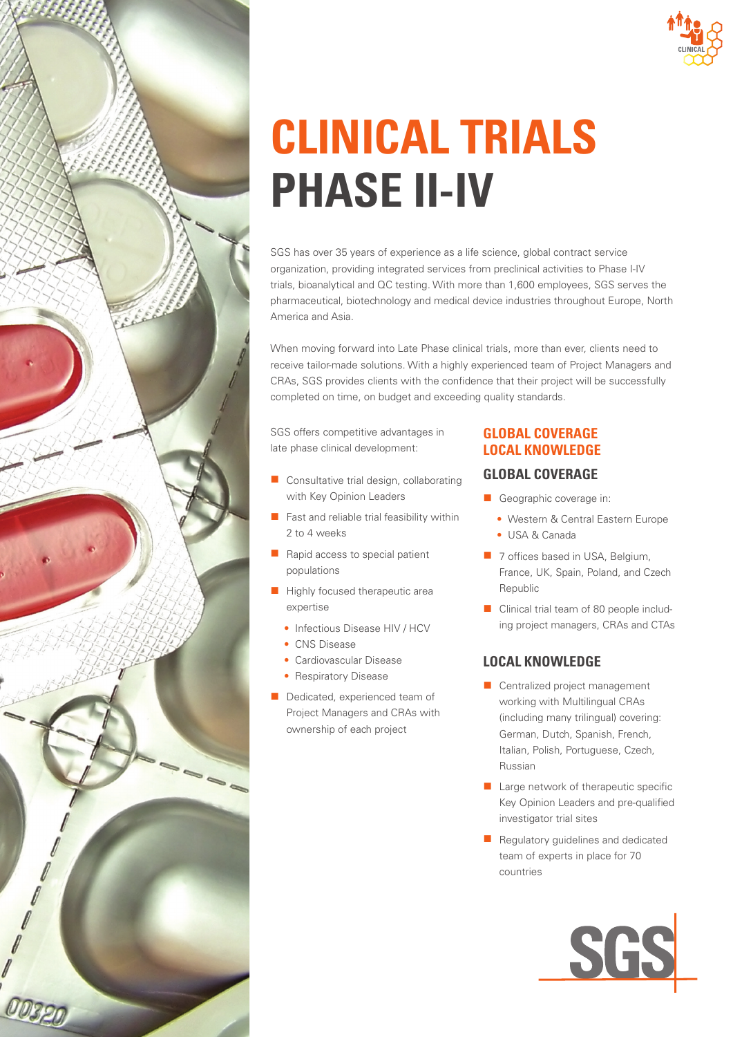

# **CLINICAL TRIALS PHASE II-IV**

SGS has over 35 years of experience as a life science, global contract service organization, providing integrated services from preclinical activities to Phase I-IV trials, bioanalytical and QC testing. With more than 1,600 employees, SGS serves the pharmaceutical, biotechnology and medical device industries throughout Europe, North America and Asia.

When moving forward into Late Phase clinical trials, more than ever, clients need to receive tailor-made solutions. With a highly experienced team of Project Managers and CRAs, SGS provides clients with the confidence that their project will be successfully completed on time, on budget and exceeding quality standards.

SGS offers competitive advantages in late phase clinical development:

- Consultative trial design, collaborating with Key Opinion Leaders
- Fast and reliable trial feasibility within 2 to 4 weeks
- Rapid access to special patient populations
- Highly focused therapeutic area expertise
	- Infectious Disease HIV / HCV
	- CNS Disease
	- Cardiovascular Disease
	- Respiratory Disease
- Dedicated, experienced team of Project Managers and CRAs with ownership of each project

# **GLOBAL COVERAGE LOCAL KNOWLEDGE**

# **GLOBAL COVERAGE**

- Geographic coverage in:
	- Western & Central Eastern Europe • USA & Canada
- 7 offices based in USA, Belgium, France, UK, Spain, Poland, and Czech Republic
- Clinical trial team of 80 people including project managers, CRAs and CTAs

# **LOCAL KNOWLEDGE**

- Centralized project management working with Multilingual CRAs (including many trilingual) covering: German, Dutch, Spanish, French, Italian, Polish, Portuguese, Czech, Russian
- Large network of therapeutic specific Key Opinion Leaders and pre-qualified investigator trial sites
- Regulatory guidelines and dedicated team of experts in place for 70 countries